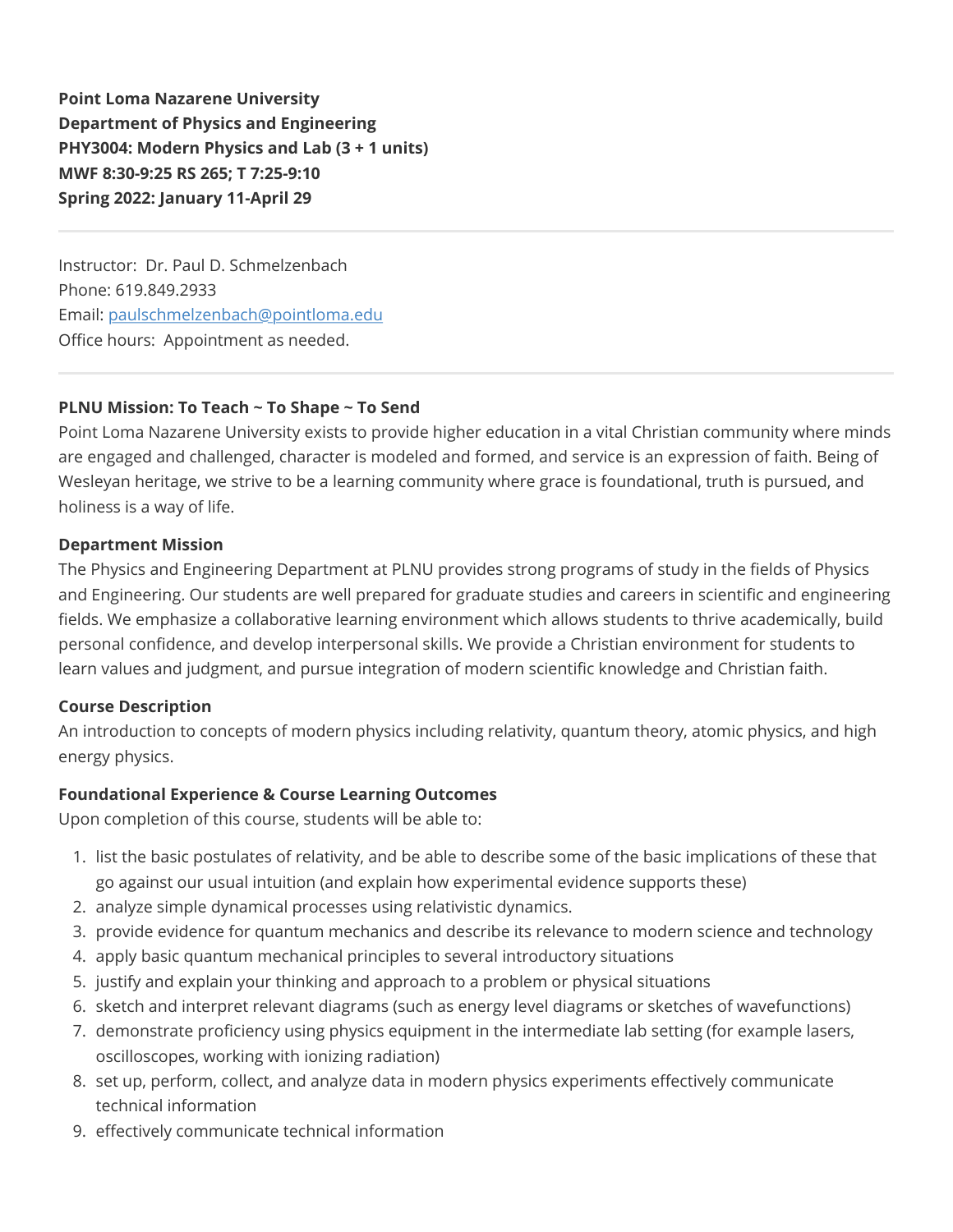**Point Loma Nazarene University Department of Physics and Engineering PHY3004: Modern Physics and Lab (3 + 1 units) MWF 8:30-9:25 RS 265; T 7:25-9:10 Spring 2022: January 11-April 29**

Instructor: Dr. Paul D. Schmelzenbach Phone: 619.849.2933 Email: [paulschmelzenbach@pointloma.edu](mailto:paulschmelzenbach@pointloma.edu) Office hours: Appointment as needed.

## **PLNU Mission: To Teach ~ To Shape ~ To Send**

Point Loma Nazarene University exists to provide higher education in a vital Christian community where minds are engaged and challenged, character is modeled and formed, and service is an expression of faith. Being of Wesleyan heritage, we strive to be a learning community where grace is foundational, truth is pursued, and holiness is a way of life.

### **Department Mission**

The Physics and Engineering Department at PLNU provides strong programs of study in the fields of Physics and Engineering. Our students are well prepared for graduate studies and careers in scientific and engineering fields. We emphasize a collaborative learning environment which allows students to thrive academically, build personal confidence, and develop interpersonal skills. We provide a Christian environment for students to learn values and judgment, and pursue integration of modern scientific knowledge and Christian faith.

## **Course Description**

An introduction to concepts of modern physics including relativity, quantum theory, atomic physics, and high energy physics.

## **Foundational Experience & Course Learning Outcomes**

Upon completion of this course, students will be able to:

- 1. list the basic postulates of relativity, and be able to describe some of the basic implications of these that go against our usual intuition (and explain how experimental evidence supports these)
- 2. analyze simple dynamical processes using relativistic dynamics.
- 3. provide evidence for quantum mechanics and describe its relevance to modern science and technology
- 4. apply basic quantum mechanical principles to several introductory situations
- 5. justify and explain your thinking and approach to a problem or physical situations
- 6. sketch and interpret relevant diagrams (such as energy level diagrams or sketches of wavefunctions)
- 7. demonstrate proficiency using physics equipment in the intermediate lab setting (for example lasers, oscilloscopes, working with ionizing radiation)
- 8. set up, perform, collect, and analyze data in modern physics experiments effectively communicate technical information
- 9. effectively communicate technical information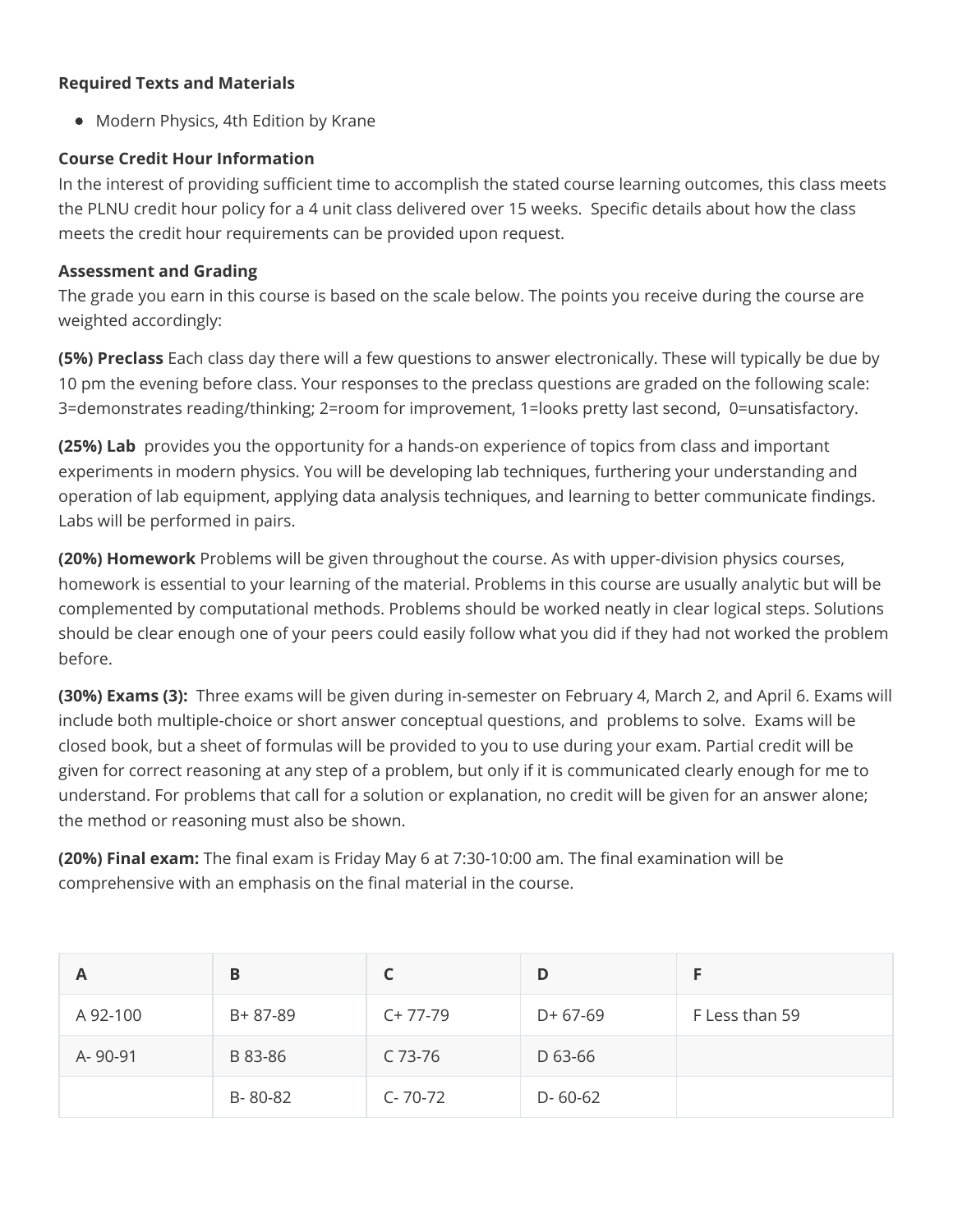## **Required Texts and Materials**

• Modern Physics, 4th Edition by Krane

## **Course Credit Hour Information**

In the interest of providing sufficient time to accomplish the stated course learning outcomes, this class meets the PLNU credit hour policy for a 4 unit class delivered over 15 weeks. Specific details about how the class meets the credit hour requirements can be provided upon request.

## **Assessment and Grading**

The grade you earn in this course is based on the scale below. The points you receive during the course are weighted accordingly:

**(5%) Preclass** Each class day there will a few questions to answer electronically. These will typically be due by 10 pm the evening before class. Your responses to the preclass questions are graded on the following scale: 3=demonstrates reading/thinking; 2=room for improvement, 1=looks pretty last second, 0=unsatisfactory.

**(25%) Lab** provides you the opportunity for a hands-on experience of topics from class and important experiments in modern physics. You will be developing lab techniques, furthering your understanding and operation of lab equipment, applying data analysis techniques, and learning to better communicate findings. Labs will be performed in pairs.

**(20%) Homework** Problems will be given throughout the course. As with upper-division physics courses, homework is essential to your learning of the material. Problems in this course are usually analytic but will be complemented by computational methods. Problems should be worked neatly in clear logical steps. Solutions should be clear enough one of your peers could easily follow what you did if they had not worked the problem before.

**(30%) Exams (3):** Three exams will be given during in-semester on February 4, March 2, and April 6. Exams will include both multiple-choice or short answer conceptual questions, and problems to solve. Exams will be closed book, but a sheet of formulas will be provided to you to use during your exam. Partial credit will be given for correct reasoning at any step of a problem, but only if it is communicated clearly enough for me to understand. For problems that call for a solution or explanation, no credit will be given for an answer alone; the method or reasoning must also be shown.

**(20%) Final exam:** The final exam is Friday May 6 at 7:30-10:00 am. The final examination will be comprehensive with an emphasis on the final material in the course.

| A        | B       |               | D             |                |
|----------|---------|---------------|---------------|----------------|
| A 92-100 | B+87-89 | $C+77-79$     | $D+67-69$     | F Less than 59 |
| A-90-91  | B 83-86 | C 73-76       | D 63-66       |                |
|          | B-80-82 | $C - 70 - 72$ | $D - 60 - 62$ |                |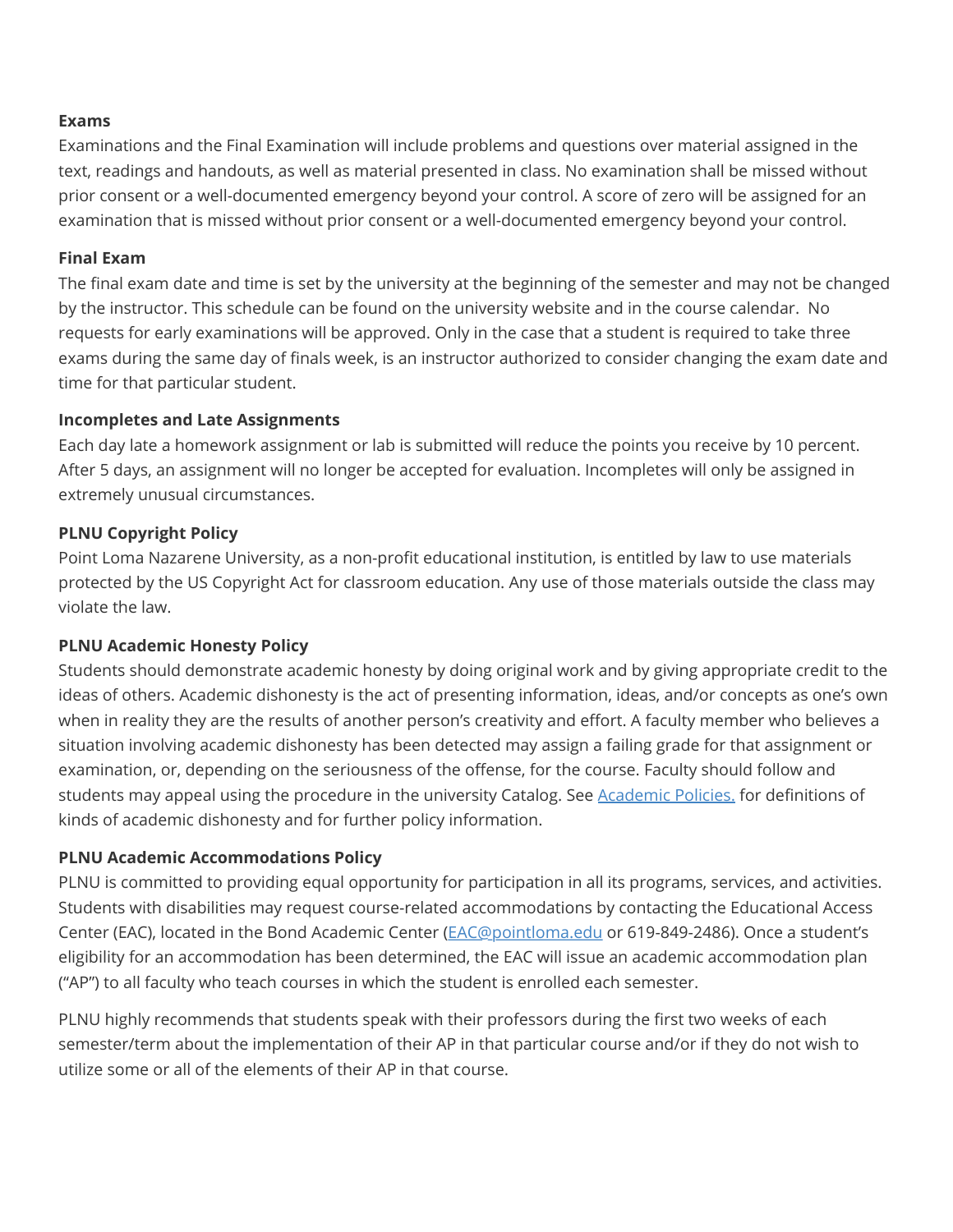### **Exams**

Examinations and the Final Examination will include problems and questions over material assigned in the text, readings and handouts, as well as material presented in class. No examination shall be missed without prior consent or a well-documented emergency beyond your control. A score of zero will be assigned for an examination that is missed without prior consent or a well-documented emergency beyond your control.

#### **Final Exam**

The final exam date and time is set by the university at the beginning of the semester and may not be changed by the instructor. This schedule can be found on the university website and in the course calendar. No requests for early examinations will be approved. Only in the case that a student is required to take three exams during the same day of finals week, is an instructor authorized to consider changing the exam date and time for that particular student.

#### **Incompletes and Late Assignments**

Each day late a homework assignment or lab is submitted will reduce the points you receive by 10 percent. After 5 days, an assignment will no longer be accepted for evaluation. Incompletes will only be assigned in extremely unusual circumstances.

### **PLNU Copyright Policy**

Point Loma Nazarene University, as a non-profit educational institution, is entitled by law to use materials protected by the US Copyright Act for classroom education. Any use of those materials outside the class may violate the law.

#### **PLNU Academic Honesty Policy**

Students should demonstrate academic honesty by doing original work and by giving appropriate credit to the ideas of others. Academic dishonesty is the act of presenting information, ideas, and/or concepts as one's own when in reality they are the results of another person's creativity and effort. A faculty member who believes a situation involving academic dishonesty has been detected may assign a failing grade for that assignment or examination, or, depending on the seriousness of the offense, for the course. Faculty should follow and students may appeal using the procedure in the university Catalog. See Academic Policies, for definitions of kinds of academic dishonesty and for further policy information.

#### **PLNU Academic Accommodations Policy**

PLNU is committed to providing equal opportunity for participation in all its programs, services, and activities. Students with disabilities may request course-related accommodations by contacting the Educational Access Center (EAC), located in the Bond Academic Center ([EAC@pointloma.edu](mailto:EAC@pointloma.edu) or 619-849-2486). Once a student's eligibility for an accommodation has been determined, the EAC will issue an academic accommodation plan ("AP") to all faculty who teach courses in which the student is enrolled each semester.

PLNU highly recommends that students speak with their professors during the first two weeks of each semester/term about the implementation of their AP in that particular course and/or if they do not wish to utilize some or all of the elements of their AP in that course.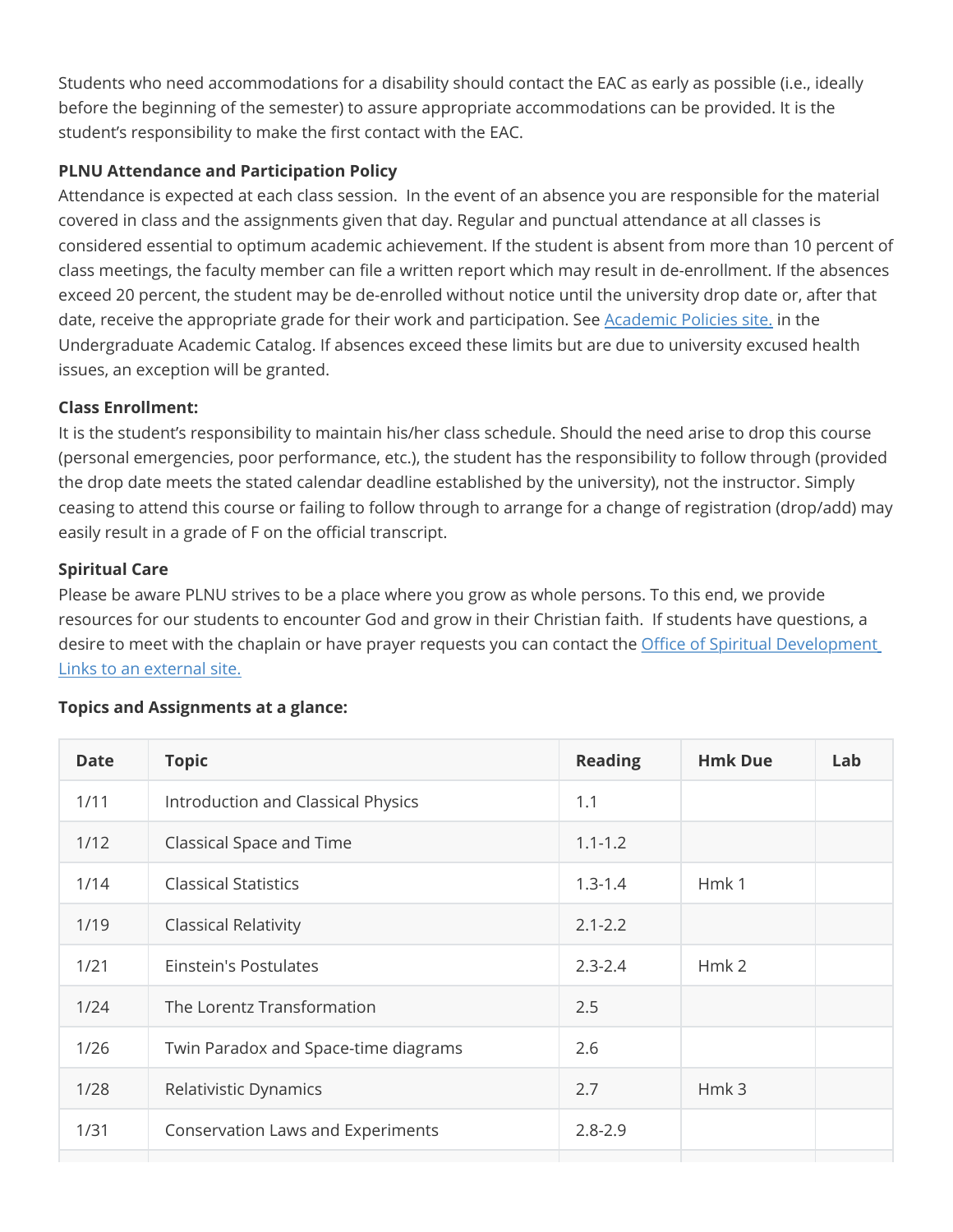Students who need accommodations for a disability should contact the EAC as early as possible (i.e., ideally before the beginning of the semester) to assure appropriate accommodations can be provided. It is the student's responsibility to make the first contact with the EAC.

# **PLNU Attendance and Participation Policy**

Attendance is expected at each class session. In the event of an absence you are responsible for the material covered in class and the assignments given that day. Regular and punctual attendance at all classes is considered essential to optimum academic achievement. If the student is absent from more than 10 percent of class meetings, the faculty member can file a written report which may result in de-enrollment. If the absences exceed 20 percent, the student may be de-enrolled without notice until the university drop date or, after that date, receive the appropriate grade for their work and participation. See [Academic Policies site.](https://catalog.pointloma.edu/content.php?catoid=46&navoid=2650#Class_Attendance) in the Undergraduate Academic Catalog. If absences exceed these limits but are due to university excused health issues, an exception will be granted.

# **Class Enrollment:**

It is the student's responsibility to maintain his/her class schedule. Should the need arise to drop this course (personal emergencies, poor performance, etc.), the student has the responsibility to follow through (provided the drop date meets the stated calendar deadline established by the university), not the instructor. Simply ceasing to attend this course or failing to follow through to arrange for a change of registration (drop/add) may easily result in a grade of F on the official transcript.

# **Spiritual Care**

Please be aware PLNU strives to be a place where you grow as whole persons. To this end, we provide resources for our students to encounter God and grow in their Christian faith. If students have questions, a [desire to meet with the chaplain or have prayer requests you can contact the Office of Spiritual Development](https://www.pointloma.edu/offices/spiritual-development) Links to an external site.

# **Topics and Assignments at a glance:**

| <b>Date</b> | <b>Topic</b>                             | <b>Reading</b> | <b>Hmk Due</b>   | Lab |
|-------------|------------------------------------------|----------------|------------------|-----|
| 1/11        | Introduction and Classical Physics       | 1.1            |                  |     |
| 1/12        | Classical Space and Time                 | $1.1 - 1.2$    |                  |     |
| 1/14        | <b>Classical Statistics</b>              | $1.3 - 1.4$    | Hmk1             |     |
| 1/19        | <b>Classical Relativity</b>              | $2.1 - 2.2$    |                  |     |
| 1/21        | Einstein's Postulates                    | $2.3 - 2.4$    | Hmk <sub>2</sub> |     |
| 1/24        | The Lorentz Transformation               | 2.5            |                  |     |
| 1/26        | Twin Paradox and Space-time diagrams     | 2.6            |                  |     |
| 1/28        | Relativistic Dynamics                    | 2.7            | Hmk 3            |     |
| 1/31        | <b>Conservation Laws and Experiments</b> | $2.8 - 2.9$    |                  |     |
|             |                                          |                |                  |     |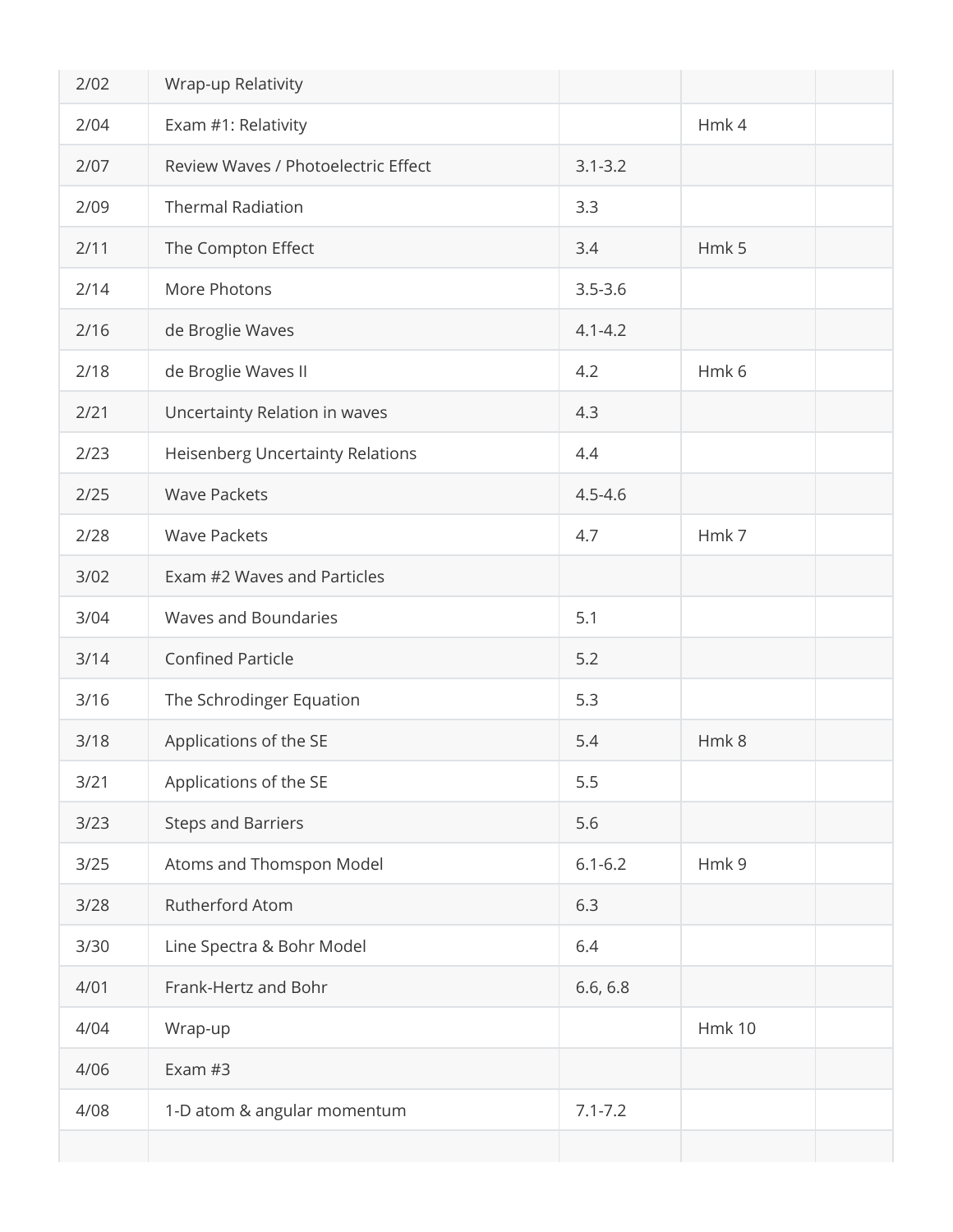| 2/02   | Wrap-up Relativity                  |             |               |
|--------|-------------------------------------|-------------|---------------|
| 2/04   | Exam #1: Relativity                 |             | Hmk 4         |
| 2/07   | Review Waves / Photoelectric Effect | $3.1 - 3.2$ |               |
| 2/09   | <b>Thermal Radiation</b>            | 3.3         |               |
| 2/11   | The Compton Effect                  | 3.4         | Hmk 5         |
| 2/14   | More Photons                        | $3.5 - 3.6$ |               |
| 2/16   | de Broglie Waves                    | $4.1 - 4.2$ |               |
| 2/18   | de Broglie Waves II                 | 4.2         | Hmk 6         |
| 2/21   | Uncertainty Relation in waves       | 4.3         |               |
| 2/23   | Heisenberg Uncertainty Relations    | 4.4         |               |
| 2/25   | <b>Wave Packets</b>                 | $4.5 - 4.6$ |               |
| 2/28   | <b>Wave Packets</b>                 | 4.7         | Hmk7          |
| 3/02   | Exam #2 Waves and Particles         |             |               |
| 3/04   | Waves and Boundaries                | 5.1         |               |
| 3/14   | <b>Confined Particle</b>            | 5.2         |               |
| $3/16$ | The Schrodinger Equation            | 5.3         |               |
| 3/18   | Applications of the SE              | 5.4         | Hmk8          |
| 3/21   | Applications of the SE              | 5.5         |               |
| 3/23   | <b>Steps and Barriers</b>           | 5.6         |               |
| 3/25   | Atoms and Thomspon Model            | $6.1 - 6.2$ | Hmk 9         |
| 3/28   | Rutherford Atom                     | 6.3         |               |
| 3/30   | Line Spectra & Bohr Model           | 6.4         |               |
| 4/01   | Frank-Hertz and Bohr                | 6.6, 6.8    |               |
| 4/04   | Wrap-up                             |             | <b>Hmk 10</b> |
| 4/06   | Exam #3                             |             |               |
| 4/08   | 1-D atom & angular momentum         | $7.1 - 7.2$ |               |
|        |                                     |             |               |